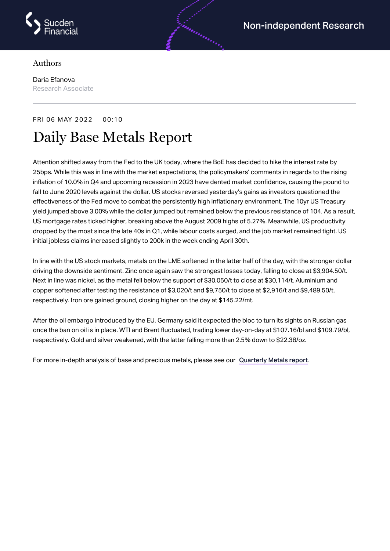

## Authors

Daria Efanova Research Associate

## FRI 06 MAY 2022 00:10 Daily Base Metals Report

Attention shifted away from the Fed to the UK today, where the BoE has decided to hike the interest rate by 25bps. While this was in line with the market expectations, the policymakers' comments in regards to the rising inflation of 10.0% in Q4 and upcoming recession in 2023 have dented market confidence, causing the pound to fall to June 2020 levels against the dollar. US stocks reversed yesterday's gains as investors questioned the effectiveness of the Fed move to combat the persistently high inflationary environment. The 10yr US Treasury yield jumped above 3.00% while the dollar jumped but remained below the previous resistance of 104. As a result, US mortgage rates ticked higher, breaking above the August 2009 highs of 5.27%. Meanwhile, US productivity dropped by the most since the late 40s in Q1, while labour costs surged, and the job market remained tight. US initial jobless claims increased slightly to 200k in the week ending April 30th.

In line with the US stock markets, metals on the LME softened in the latter half of the day, with the stronger dollar driving the downside sentiment. Zinc once again saw the strongest losses today, falling to close at \$3,904.50/t. Next in line was nickel, as the metal fell below the support of \$30,050/t to close at \$30,114/t. Aluminium and copper softened after testing the resistance of \$3,020/t and \$9,750/t to close at \$2,916/t and \$9,489.50/t, respectively. Iron ore gained ground, closing higher on the day at \$145.22/mt.

After the oil embargo introduced by the EU, Germany said it expected the bloc to turn its sights on Russian gas once the ban on oil is in place. WTI and Brent fluctuated, trading lower day-on-day at \$107.16/bl and \$109.79/bl, respectively. Gold and silver weakened, with the latter falling more than 2.5% down to \$22.38/oz.

For more in-depth analysis of base and precious metals, please see our [Quarterly](https://www.sucdenfinancial.com/en/reports/quarterly-metals/qmr-q1-2022/) Metals report.